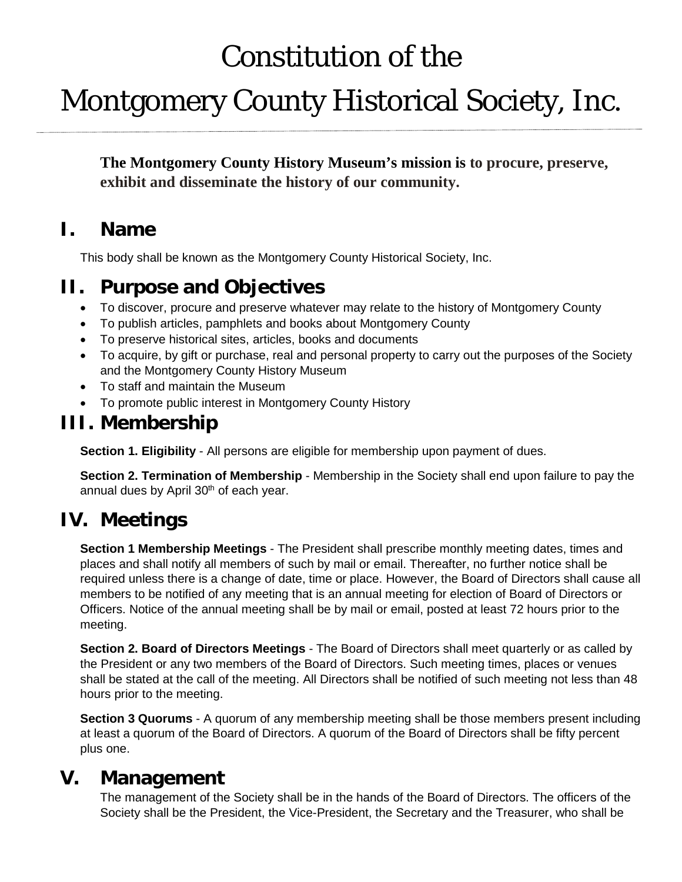# Constitution of the

# Montgomery County Historical Society, Inc.

**The Montgomery County History Museum's mission is to procure, preserve, exhibit and disseminate the history of our community.**

#### **I. Name**

This body shall be known as the Montgomery County Historical Society, Inc.

### **II. Purpose and Objectives**

- To discover, procure and preserve whatever may relate to the history of Montgomery County
- To publish articles, pamphlets and books about Montgomery County
- To preserve historical sites, articles, books and documents
- To acquire, by gift or purchase, real and personal property to carry out the purposes of the Society and the Montgomery County History Museum
- To staff and maintain the Museum
- To promote public interest in Montgomery County History

#### **III. Membership**

**Section 1. Eligibility** - All persons are eligible for membership upon payment of dues.

**Section 2. Termination of Membership** - Membership in the Society shall end upon failure to pay the annual dues by April 30<sup>th</sup> of each year.

## **IV. Meetings**

**Section 1 Membership Meetings** - The President shall prescribe monthly meeting dates, times and places and shall notify all members of such by mail or email. Thereafter, no further notice shall be required unless there is a change of date, time or place. However, the Board of Directors shall cause all members to be notified of any meeting that is an annual meeting for election of Board of Directors or Officers. Notice of the annual meeting shall be by mail or email, posted at least 72 hours prior to the meeting.

**Section 2. Board of Directors Meetings** - The Board of Directors shall meet quarterly or as called by the President or any two members of the Board of Directors. Such meeting times, places or venues shall be stated at the call of the meeting. All Directors shall be notified of such meeting not less than 48 hours prior to the meeting.

**Section 3 Quorums** - A quorum of any membership meeting shall be those members present including at least a quorum of the Board of Directors. A quorum of the Board of Directors shall be fifty percent plus one.

#### **V. Management**

The management of the Society shall be in the hands of the Board of Directors. The officers of the Society shall be the President, the Vice-President, the Secretary and the Treasurer, who shall be